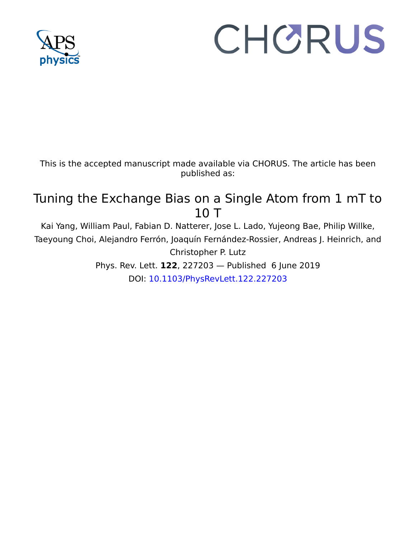

## CHORUS

This is the accepted manuscript made available via CHORUS. The article has been published as:

## Tuning the Exchange Bias on a Single Atom from 1 mT to 10 T

Kai Yang, William Paul, Fabian D. Natterer, Jose L. Lado, Yujeong Bae, Philip Willke, Taeyoung Choi, Alejandro Ferrón, Joaquín Fernández-Rossier, Andreas J. Heinrich, and Christopher P. Lutz

> Phys. Rev. Lett. **122**, 227203 — Published 6 June 2019 DOI: [10.1103/PhysRevLett.122.227203](http://dx.doi.org/10.1103/PhysRevLett.122.227203)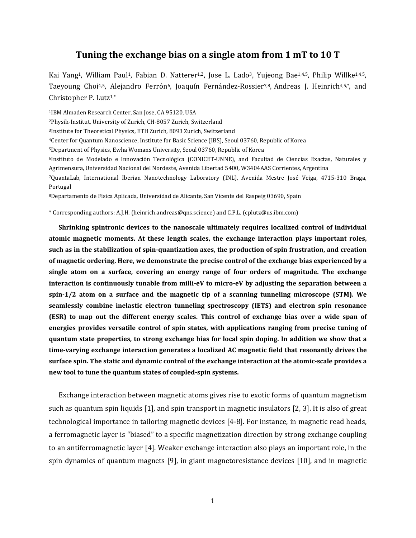## **Tuning the exchange bias on a single atom from 1 mT to 10 T**

Kai Yang<sup>1</sup>, William Paul<sup>1</sup>, Fabian D. Natterer<sup>1,2</sup>, Jose L. Lado<sup>3</sup>, Yujeong Bae<sup>1,4,5</sup>, Philip Willke<sup>1,4,5</sup>, Taeyoung Choi<sup>4,5</sup>, Alejandro Ferrón<sup>6</sup>, Joaquín Fernández-Rossier<sup>7,8</sup>, Andreas J. Heinrich<sup>4,5,\*</sup>, and Christopher P. Lutz1,\*

1IBM Almaden Research Center, San Jose, CA 95120, USA 2Physik-Institut, University of Zurich, CH-8057 Zurich, Switzerland 3Institute for Theoretical Physics, ETH Zurich, 8093 Zurich, Switzerland 4Center for Quantum Nanoscience, Institute for Basic Science (IBS), Seoul 03760, Republic of Korea 5Department of Physics, Ewha Womans University, Seoul 03760, Republic of Korea 6Instituto de Modelado e Innovación Tecnológica (CONICET-UNNE), and Facultad de Ciencias Exactas, Naturales y Agrimensura, Universidad Nacional del Nordeste, Avenida Libertad 5400, W3404AAS Corrientes, Argentina 7QuantaLab, International Iberian Nanotechnology Laboratory (INL), Avenida Mestre José Veiga, 4715-310 Braga, Portugal 8Departamento de Física Aplicada, Universidad de Alicante, San Vicente del Raspeig 03690, Spain

\* Corresponding authors: A.J.H. (heinrich.andreas@qns.science) and C.P.L. (cplutz@us.ibm.com)

**Shrinking spintronic devices to the nanoscale ultimately requires localized control of individual atomic magnetic moments. At these length scales, the exchange interaction plays important roles, such as in the stabilization of spin-quantization axes, the production of spin frustration, and creation of magnetic ordering. Here, we demonstrate the precise control of the exchange bias experienced by a single atom on a surface, covering an energy range of four orders of magnitude. The exchange interaction is continuously tunable from milli-eV to micro-eV by adjusting the separation between a spin-1/2 atom on a surface and the magnetic tip of a scanning tunneling microscope (STM). We seamlessly combine inelastic electron tunneling spectroscopy (IETS) and electron spin resonance (ESR) to map out the different energy scales. This control of exchange bias over a wide span of energies provides versatile control of spin states, with applications ranging from precise tuning of quantum state properties, to strong exchange bias for local spin doping. In addition we show that a time-varying exchange interaction generates a localized AC magnetic field that resonantly drives the surface spin. The static and dynamic control of the exchange interaction at the atomic-scale provides a new tool to tune the quantum states of coupled-spin systems.** 

Exchange interaction between magnetic atoms gives rise to exotic forms of quantum magnetism such as quantum spin liquids [1], and spin transport in magnetic insulators [2, 3]. It is also of great technological importance in tailoring magnetic devices [4-8]. For instance, in magnetic read heads, a ferromagnetic layer is "biased" to a specific magnetization direction by strong exchange coupling to an antiferromagnetic layer [4]. Weaker exchange interaction also plays an important role, in the spin dynamics of quantum magnets [9], in giant magnetoresistance devices [10], and in magnetic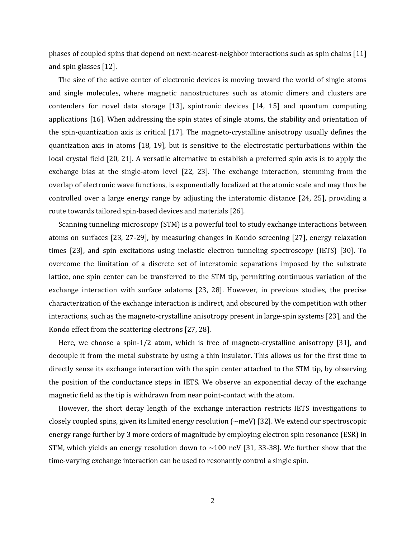phases of coupled spins that depend on next-nearest-neighbor interactions such as spin chains [11] and spin glasses [12].

The size of the active center of electronic devices is moving toward the world of single atoms and single molecules, where magnetic nanostructures such as atomic dimers and clusters are contenders for novel data storage [13], spintronic devices [14, 15] and quantum computing applications [16]. When addressing the spin states of single atoms, the stability and orientation of the spin-quantization axis is critical [17]. The magneto-crystalline anisotropy usually defines the quantization axis in atoms [18, 19], but is sensitive to the electrostatic perturbations within the local crystal field [20, 21]. A versatile alternative to establish a preferred spin axis is to apply the exchange bias at the single-atom level [22, 23]. The exchange interaction, stemming from the overlap of electronic wave functions, is exponentially localized at the atomic scale and may thus be controlled over a large energy range by adjusting the interatomic distance [24, 25], providing a route towards tailored spin-based devices and materials [26].

Scanning tunneling microscopy (STM) is a powerful tool to study exchange interactions between atoms on surfaces [23, 27-29], by measuring changes in Kondo screening [27], energy relaxation times [23], and spin excitations using inelastic electron tunneling spectroscopy (IETS) [30]. To overcome the limitation of a discrete set of interatomic separations imposed by the substrate lattice, one spin center can be transferred to the STM tip, permitting continuous variation of the exchange interaction with surface adatoms [23, 28]. However, in previous studies, the precise characterization of the exchange interaction is indirect, and obscured by the competition with other interactions, such as the magneto-crystalline anisotropy present in large-spin systems [23], and the Kondo effect from the scattering electrons [27, 28].

Here, we choose a spin-1/2 atom, which is free of magneto-crystalline anisotropy [31], and decouple it from the metal substrate by using a thin insulator. This allows us for the first time to directly sense its exchange interaction with the spin center attached to the STM tip, by observing the position of the conductance steps in IETS. We observe an exponential decay of the exchange magnetic field as the tip is withdrawn from near point-contact with the atom.

However, the short decay length of the exchange interaction restricts IETS investigations to closely coupled spins, given its limited energy resolution  $(\sim meV)$  [32]. We extend our spectroscopic energy range further by 3 more orders of magnitude by employing electron spin resonance (ESR) in STM, which yields an energy resolution down to  $\sim$ 100 neV [31, 33-38]. We further show that the time-varying exchange interaction can be used to resonantly control a single spin.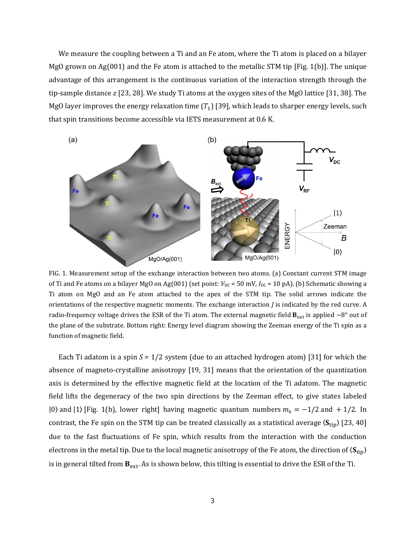We measure the coupling between a Ti and an Fe atom, where the Ti atom is placed on a bilayer MgO grown on Ag(001) and the Fe atom is attached to the metallic STM tip [Fig. 1(b)]. The unique advantage of this arrangement is the continuous variation of the interaction strength through the tip-sample distance *z* [23, 28]. We study Ti atoms at the oxygen sites of the MgO lattice [31, 38]. The MgO layer improves the energy relaxation time  $(T_1)$  [39], which leads to sharper energy levels, such that spin transitions become accessible via IETS measurement at 0.6 K.



FIG. 1. Measurement setup of the exchange interaction between two atoms. (a) Constant current STM image of Ti and Fe atoms on a bilayer MgO on Ag(001) (set point:  $V_{\text{DC}} = 50$  mV,  $I_{\text{DC}} = 10$  pA). (b) Schematic showing a Ti atom on MgO and an Fe atom attached to the apex of the STM tip. The solid arrows indicate the orientations of the respective magnetic moments. The exchange interaction *J* is indicated by the red curve. A radio-frequency voltage drives the ESR of the Ti atom. The external magnetic field  $B_{ext}$  is applied ~8° out of the plane of the substrate. Bottom right: Energy level diagram showing the Zeeman energy of the Ti spin as a function of magnetic field.

Each Ti adatom is a spin *S* = 1/2 system (due to an attached hydrogen atom) [31] for which the absence of magneto-crystalline anisotropy [19, 31] means that the orientation of the quantization axis is determined by the effective magnetic field at the location of the Ti adatom. The magnetic field lifts the degeneracy of the two spin directions by the Zeeman effect, to give states labeled |0) and |1) [Fig. 1(b), lower right] having magnetic quantum numbers  $m_s = -1/2$  and  $+1/2$ . In contrast, the Fe spin on the STM tip can be treated classically as a statistical average  $\langle S_{\text{tin}}\rangle$  [23, 40] due to the fast fluctuations of Fe spin, which results from the interaction with the conduction electrons in the metal tip. Due to the local magnetic anisotropy of the Fe atom, the direction of  $\langle S_{\rm tip} \rangle$ is in general tilted from  $B_{ext}$ . As is shown below, this tilting is essential to drive the ESR of the Ti.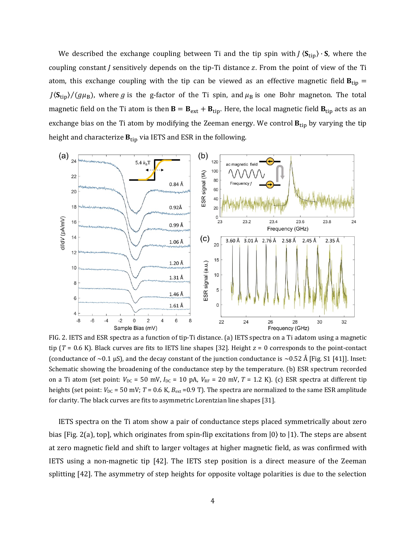We described the exchange coupling between Ti and the tip spin with  $\frac{S_{\text{tip}}}{S}$ . S, where the coupling constant  $\tilde{I}$  sensitively depends on the tip-Ti distance  $\tilde{Z}$ . From the point of view of the Ti atom, this exchange coupling with the tip can be viewed as an effective magnetic field  $B_{\text{tip}} =$  $J(\mathbf{S}_{tip})/(g\mu_B)$ , where g is the g-factor of the Ti spin, and  $\mu_B$  is one Bohr magneton. The total magnetic field on the Ti atom is then  $B = B_{ext} + B_{tip}$ . Here, the local magnetic field  $B_{tip}$  acts as an exchange bias on the Ti atom by modifying the Zeeman energy. We control  $B_{tip}$  by varying the tip height and characterize  $B_{tip}$  via IETS and ESR in the following.



FIG. 2. IETS and ESR spectra as a function of tip-Ti distance. (a) IETS spectra on a Ti adatom using a magnetic tip (*T* = 0.6 K). Black curves are fits to IETS line shapes [32]. Height *z* = 0 corresponds to the point-contact (conductance of  $\sim$  0.1 µS), and the decay constant of the junction conductance is  $\sim$  0.52 Å [Fig. S1 [41]]. Inset: Schematic showing the broadening of the conductance step by the temperature. (b) ESR spectrum recorded on a Ti atom (set point:  $V_{DC}$  = 50 mV,  $I_{DC}$  = 10 pA,  $V_{RF}$  = 20 mV, T = 1.2 K). (c) ESR spectra at different tip heights (set point:  $V_{\text{DC}}$  = 50 mV; *T* = 0.6 K,  $B_{\text{ext}}$  = 0.9 T). The spectra are normalized to the same ESR amplitude for clarity. The black curves are fits to asymmetric Lorentzian line shapes [31].

IETS spectra on the Ti atom show a pair of conductance steps placed symmetrically about zero bias [Fig. 2(a), top], which originates from spin-flip excitations from  $|0\rangle$  to  $|1\rangle$ . The steps are absent at zero magnetic field and shift to larger voltages at higher magnetic field, as was confirmed with IETS using a non-magnetic tip [42]. The IETS step position is a direct measure of the Zeeman splitting [42]. The asymmetry of step heights for opposite voltage polarities is due to the selection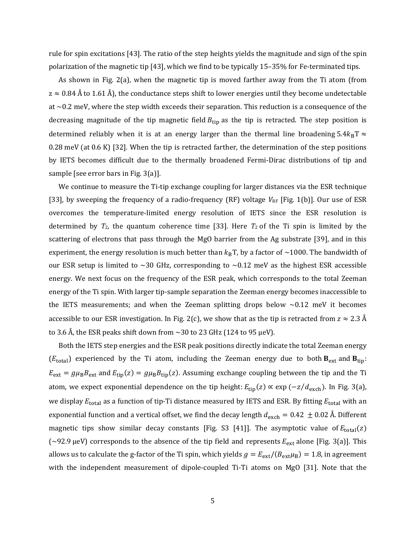rule for spin excitations [43]. The ratio of the step heights yields the magnitude and sign of the spin polarization of the magnetic tip [43], which we find to be typically 15–35% for Fe-terminated tips.

As shown in Fig. 2(a), when the magnetic tip is moved farther away from the Ti atom (from  $z \approx 0.84$  Å to 1.61 Å), the conductance steps shift to lower energies until they become undetectable at  $\sim$ 0.2 meV, where the step width exceeds their separation. This reduction is a consequence of the decreasing magnitude of the tip magnetic field  $B_{\text{tip}}$  as the tip is retracted. The step position is determined reliably when it is at an energy larger than the thermal line broadening  $5.4k_BT \approx$ 0.28 meV (at 0.6 K) [32]. When the tip is retracted farther, the determination of the step positions by IETS becomes difficult due to the thermally broadened Fermi-Dirac distributions of tip and sample [see error bars in Fig. 3(a)].

We continue to measure the Ti-tip exchange coupling for larger distances via the ESR technique [33], by sweeping the frequency of a radio-frequency (RF) voltage  $V_{RF}$  [Fig. 1(b)]. Our use of ESR overcomes the temperature-limited energy resolution of IETS since the ESR resolution is determined by  $T_2$ , the quantum coherence time [33]. Here  $T_2$  of the Ti spin is limited by the scattering of electrons that pass through the MgO barrier from the Ag substrate [39], and in this experiment, the energy resolution is much better than  $k_B T$ , by a factor of ~1000. The bandwidth of our ESR setup is limited to  $\sim$  30 GHz, corresponding to  $\sim$  0.12 meV as the highest ESR accessible energy. We next focus on the frequency of the ESR peak, which corresponds to the total Zeeman energy of the Ti spin. With larger tip-sample separation the Zeeman energy becomes inaccessible to the IETS measurements; and when the Zeeman splitting drops below  $\sim 0.12$  meV it becomes accessible to our ESR investigation. In Fig. 2(c), we show that as the tip is retracted from  $z \approx 2.3 \text{ Å}$ to 3.6 Å, the ESR peaks shift down from  $\sim$  30 to 23 GHz (124 to 95 µeV).

Both the IETS step energies and the ESR peak positions directly indicate the total Zeeman energy ( $E_{\text{total}}$ ) experienced by the Ti atom, including the Zeeman energy due to both  $B_{\text{ext}}$  and  $B_{\text{tip}}$ :  $E_{ext} = g\mu_B B_{ext}$  and  $E_{tip}(z) = g\mu_B B_{tip}(z)$ . Assuming exchange coupling between the tip and the Ti atom, we expect exponential dependence on the tip height:  $E_{\text{tip}}(z) \propto \exp(-z/d_{\text{exch}})$ . In Fig. 3(a), we display  $E_{total}$  as a function of tip-Ti distance measured by IETS and ESR. By fitting  $E_{total}$  with an exponential function and a vertical offset, we find the decay length  $d_{\text{exch}} = 0.42 \pm 0.02$  Å. Different magnetic tips show similar decay constants [Fig. S3 [41]]. The asymptotic value of  $E_{total}(z)$ (~92.9 µeV) corresponds to the absence of the tip field and represents  $E_{ext}$  alone [Fig. 3(a)]. This allows us to calculate the g-factor of the Ti spin, which yields  $g = E_{ext}/(B_{ext} \mu_B) = 1.8$ , in agreement with the independent measurement of dipole-coupled Ti-Ti atoms on MgO [31]. Note that the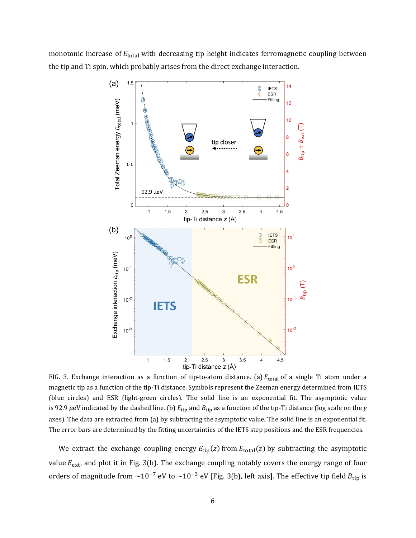monotonic increase of  $E_{total}$  with decreasing tip height indicates ferromagnetic coupling between the tip and Ti spin, which probably arises from the direct exchange interaction.



FIG. 3. Exchange interaction as a function of tip-to-atom distance. (a)  $E_{total}$  of a single Ti atom under a magnetic tip as a function of the tip-Ti distance. Symbols represent the Zeeman energy determined from IETS (blue circles) and ESR (light-green circles). The solid line is an exponential fit. The asymptotic value is 92.9  $\mu$ eV indicated by the dashed line. (b)  $E_{\text{tip}}$  and  $B_{\text{tip}}$  as a function of the tip-Ti distance (log scale on the *y* axes). The data are extracted from (a) by subtracting the asymptotic value. The solid line is an exponential fit. The error bars are determined by the fitting uncertainties of the IETS step positions and the ESR frequencies.

We extract the exchange coupling energy  $E_{\text{tip}}(z)$  from  $E_{\text{total}}(z)$  by subtracting the asymptotic value  $E_{ext}$ , and plot it in Fig. 3(b). The exchange coupling notably covers the energy range of four orders of magnitude from  $\sim 10^{-7}$  eV to  $\sim 10^{-3}$  eV [Fig. 3(b), left axis]. The effective tip field  $B_{\text{tip}}$  is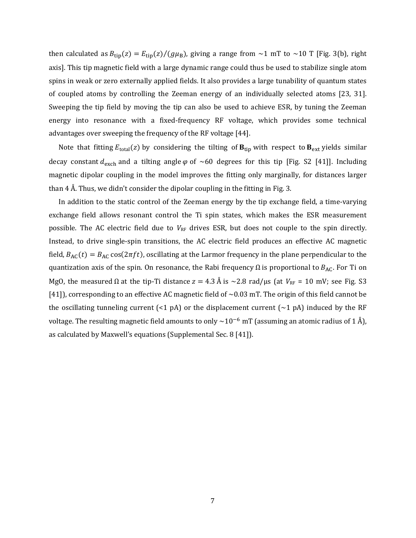then calculated as  $B_{\text{tip}}(z) = E_{\text{tip}}(z)/(g\mu_B)$ , giving a range from ~1 mT to ~10 T [Fig. 3(b), right axis]. This tip magnetic field with a large dynamic range could thus be used to stabilize single atom spins in weak or zero externally applied fields. It also provides a large tunability of quantum states of coupled atoms by controlling the Zeeman energy of an individually selected atoms [23, 31]. Sweeping the tip field by moving the tip can also be used to achieve ESR, by tuning the Zeeman energy into resonance with a fixed-frequency RF voltage, which provides some technical advantages over sweeping the frequency of the RF voltage [44].

Note that fitting  $E_{total}(z)$  by considering the tilting of  $B_{tip}$  with respect to  $B_{ext}$  yields similar decay constant  $d_{\text{exch}}$  and a tilting angle  $\varphi$  of ~60 degrees for this tip [Fig. S2 [41]]. Including magnetic dipolar coupling in the model improves the fitting only marginally, for distances larger than 4  $\AA$ . Thus, we didn't consider the dipolar coupling in the fitting in Fig. 3.

In addition to the static control of the Zeeman energy by the tip exchange field, a time-varying exchange field allows resonant control the Ti spin states, which makes the ESR measurement possible. The AC electric field due to  $V_{RF}$  drives ESR, but does not couple to the spin directly. Instead, to drive single-spin transitions, the AC electric field produces an effective AC magnetic field,  $B_{AC}(t) = B_{AC} \cos(2\pi ft)$ , oscillating at the Larmor frequency in the plane perpendicular to the quantization axis of the spin. On resonance, the Rabi frequency  $\Omega$  is proportional to  $B_{AC}$ . For Ti on MgO, the measured Ω at the tip-Ti distance  $z = 4.3 \text{ Å}$  is ~2.8 rad/μs (at  $V_{RF} = 10 \text{ mV}$ ; see Fig. S3 [41]), corresponding to an effective AC magnetic field of  $\sim 0.03$  mT. The origin of this field cannot be the oscillating tunneling current  $\left($  <1 pA) or the displacement current  $\left($   $\sim$ 1 pA) induced by the RF voltage. The resulting magnetic field amounts to only  $\sim$ 10<sup>-6</sup> mT (assuming an atomic radius of 1 Å), as calculated by Maxwell's equations (Supplemental Sec. 8 [41]).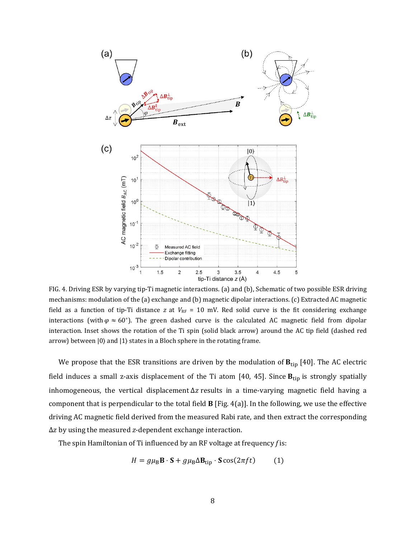

FIG. 4. Driving ESR by varying tip-Ti magnetic interactions. (a) and (b), Schematic of two possible ESR driving mechanisms: modulation of the (a) exchange and (b) magnetic dipolar interactions. (c) Extracted AC magnetic field as a function of tip-Ti distance *z* at  $V_{RF}$  = 10 mV. Red solid curve is the fit considering exchange interactions (with  $\varphi \approx 60^{\circ}$ ). The green dashed curve is the calculated AC magnetic field from dipolar interaction. Inset shows the rotation of the Ti spin (solid black arrow) around the AC tip field (dashed red arrow) between  $|0\rangle$  and  $|1\rangle$  states in a Bloch sphere in the rotating frame.

We propose that the ESR transitions are driven by the modulation of  $B_{tip}$  [40]. The AC electric field induces a small z-axis displacement of the Ti atom [40, 45]. Since  $B_{tip}$  is strongly spatially inhomogeneous, the vertical displacement  $\Delta z$  results in a time-varying magnetic field having a component that is perpendicular to the total field **B** [Fig. 4(a)]. In the following, we use the effective driving AC magnetic field derived from the measured Rabi rate, and then extract the corresponding  $\Delta z$  by using the measured *z*-dependent exchange interaction.

The spin Hamiltonian of Ti influenced by an RF voltage at frequency *f* is:

$$
H = g\mu_{\rm B}\mathbf{B}\cdot\mathbf{S} + g\mu_{\rm B}\Delta\mathbf{B}_{\rm tip}\cdot\mathbf{S}\cos(2\pi ft) \tag{1}
$$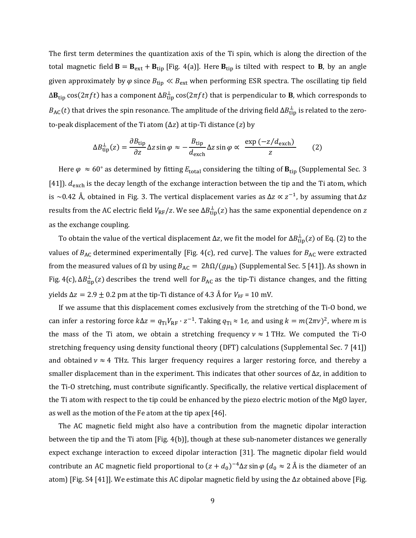The first term determines the quantization axis of the Ti spin, which is along the direction of the total magnetic field  $\mathbf{B} = \mathbf{B}_{ext} + \mathbf{B}_{tip}$  [Fig. 4(a)]. Here  $\mathbf{B}_{tip}$  is tilted with respect to **B**, by an angle given approximately by  $\varphi$  since  $B_{\text{tip}} \ll B_{\text{ext}}$  when performing ESR spectra. The oscillating tip field  $\Delta B_{\rm tip}$  cos $(2\pi ft)$  has a component  $\Delta B_{\rm tip}^\perp$  cos $(2\pi ft)$  that is perpendicular to  ${\bf B}$ , which corresponds to  $B_{\rm AC}(t)$  that drives the spin resonance. The amplitude of the driving field  $\Delta B_{\rm tip}^\perp$  is related to the zeroto-peak displacement of the Ti atom (Δz) at tip-Ti distance (z) by

$$
\Delta B_{\text{tip}}^{\perp}(z) = \frac{\partial B_{\text{tip}}}{\partial z} \Delta z \sin \varphi \approx -\frac{B_{\text{tip}}}{d_{\text{exch}}} \Delta z \sin \varphi \propto \frac{\exp(-z/d_{\text{exch}})}{z} \tag{2}
$$

Here  $\varphi \approx 60^\circ$  as determined by fitting  $E_{\text{total}}$  considering the tilting of  $B_{\text{tip}}$  (Supplemental Sec. 3 [41]).  $d_{\text{exch}}$  is the decay length of the exchange interaction between the tip and the Ti atom, which is ~0.42 Å, obtained in Fig. 3. The vertical displacement varies as  $\Delta z \propto z^{-1}$ , by assuming that  $\Delta z$ results from the AC electric field  $V_{\rm RF}/z$ . We see  $\Delta B_{\rm tip}^\perp(z)$  has the same exponential dependence on  $z$ as the exchange coupling.

To obtain the value of the vertical displacement Δz, we fit the model for  $\Delta B_{\rm tip}^\perp(z)$  of Eq. (2) to the values of  $B_{AC}$  determined experimentally [Fig. 4(c), red curve]. The values for  $B_{AC}$  were extracted from the measured values of Ω by using  $B_{AC} = 2hΩ/(gμ_B)$  (Supplemental Sec. 5 [41]). As shown in Fig. 4(c),  $\Delta B_{\text{tip}}^{\perp}(z)$  describes the trend well for  $B_{\text{AC}}$  as the tip-Ti distance changes, and the fitting yields  $Δz = 2.9 \pm 0.2$  pm at the tip-Ti distance of 4.3 Å for  $V_{RF} = 10$  mV.

If we assume that this displacement comes exclusively from the stretching of the Ti-O bond, we can infer a restoring force  $k\Delta z = q_{Ti}V_{RF} \cdot z^{-1}$ . Taking  $q_{Ti} \approx 1e$ , and using  $k = m(2\pi\nu)^2$ , where *m* is the mass of the Ti atom, we obtain a stretching frequency  $v \approx 1$  THz. We computed the Ti-O stretching frequency using density functional theory (DFT) calculations (Supplemental Sec. 7 [41]) and obtained  $v \approx 4$  THz. This larger frequency requires a larger restoring force, and thereby a smaller displacement than in the experiment. This indicates that other sources of  $\Delta z$ , in addition to the Ti-O stretching, must contribute significantly. Specifically, the relative vertical displacement of the Ti atom with respect to the tip could be enhanced by the piezo electric motion of the MgO layer, as well as the motion of the Fe atom at the tip apex [46].

The AC magnetic field might also have a contribution from the magnetic dipolar interaction between the tip and the Ti atom [Fig. 4(b)], though at these sub-nanometer distances we generally expect exchange interaction to exceed dipolar interaction [31]. The magnetic dipolar field would contribute an AC magnetic field proportional to  $(z + d_0)^{-4} \Delta z \sin \varphi$  ( $d_0 \approx 2$  Å is the diameter of an atom) [Fig. S4 [41]]. We estimate this AC dipolar magnetic field by using the  $\Delta z$  obtained above [Fig.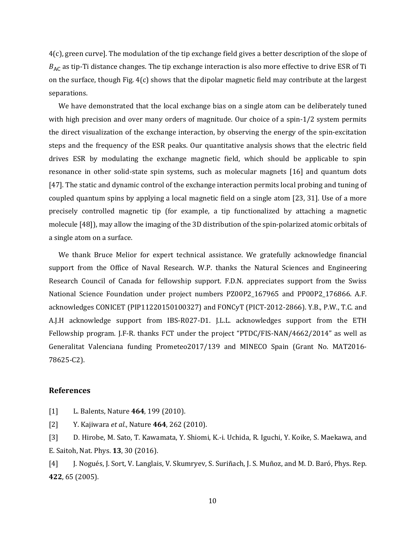4(c), green curve]. The modulation of the tip exchange field gives a better description of the slope of  $B_{AC}$  as tip-Ti distance changes. The tip exchange interaction is also more effective to drive ESR of Ti on the surface, though Fig. 4(c) shows that the dipolar magnetic field may contribute at the largest separations.

We have demonstrated that the local exchange bias on a single atom can be deliberately tuned with high precision and over many orders of magnitude. Our choice of a spin-1/2 system permits the direct visualization of the exchange interaction, by observing the energy of the spin-excitation steps and the frequency of the ESR peaks. Our quantitative analysis shows that the electric field drives ESR by modulating the exchange magnetic field, which should be applicable to spin resonance in other solid-state spin systems, such as molecular magnets [16] and quantum dots [47]. The static and dynamic control of the exchange interaction permits local probing and tuning of coupled quantum spins by applying a local magnetic field on a single atom [23, 31]. Use of a more precisely controlled magnetic tip (for example, a tip functionalized by attaching a magnetic molecule [48]), may allow the imaging of the 3D distribution of the spin-polarized atomic orbitals of a single atom on a surface.

We thank Bruce Melior for expert technical assistance. We gratefully acknowledge financial support from the Office of Naval Research. W.P. thanks the Natural Sciences and Engineering Research Council of Canada for fellowship support. F.D.N. appreciates support from the Swiss National Science Foundation under project numbers PZ00P2\_167965 and PP00P2\_176866. A.F. acknowledges CONICET (PIP11220150100327) and FONCyT (PICT-2012-2866). Y.B., P.W., T.C. and A.J.H acknowledge support from IBS-R027-D1. J.L.L. acknowledges support from the ETH Fellowship program. J.F-R. thanks FCT under the project "PTDC/FIS-NAN/4662/2014" as well as Generalitat Valenciana funding Prometeo2017/139 and MINECO Spain (Grant No. MAT2016- 78625-C2).

## **References**

[1] L. Balents, Nature **464**, 199 (2010).

[2] Y. Kajiwara *et al.*, Nature **464**, 262 (2010).

[3] D. Hirobe, M. Sato, T. Kawamata, Y. Shiomi, K.-i. Uchida, R. Iguchi, Y. Koike, S. Maekawa, and E. Saitoh, Nat. Phys. **13**, 30 (2016).

[4] J. Nogués, J. Sort, V. Langlais, V. Skumryev, S. Suriñach, J. S. Muñoz, and M. D. Baró, Phys. Rep. **422**, 65 (2005).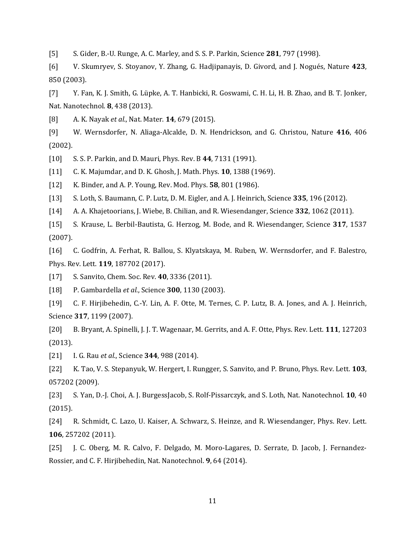[5] S. Gider, B.-U. Runge, A. C. Marley, and S. S. P. Parkin, Science **281**, 797 (1998).

[6] V. Skumryev, S. Stoyanov, Y. Zhang, G. Hadjipanayis, D. Givord, and J. Nogués, Nature **423**, 850 (2003).

[7] Y. Fan, K. J. Smith, G. Lüpke, A. T. Hanbicki, R. Goswami, C. H. Li, H. B. Zhao, and B. T. Jonker, Nat. Nanotechnol. **8**, 438 (2013).

[8] A. K. Nayak *et al.*, Nat. Mater. **14**, 679 (2015).

[9] W. Wernsdorfer, N. Aliaga-Alcalde, D. N. Hendrickson, and G. Christou, Nature **416**, 406 (2002).

[10] S. S. P. Parkin, and D. Mauri, Phys. Rev. B **44**, 7131 (1991).

[11] C. K. Majumdar, and D. K. Ghosh, J. Math. Phys. **10**, 1388 (1969).

[12] K. Binder, and A. P. Young, Rev. Mod. Phys. **58**, 801 (1986).

[13] S. Loth, S. Baumann, C. P. Lutz, D. M. Eigler, and A. J. Heinrich, Science **335**, 196 (2012).

[14] A. A. Khajetoorians, J. Wiebe, B. Chilian, and R. Wiesendanger, Science **332**, 1062 (2011).

[15] S. Krause, L. Berbil-Bautista, G. Herzog, M. Bode, and R. Wiesendanger, Science **317**, 1537 (2007).

[16] C. Godfrin, A. Ferhat, R. Ballou, S. Klyatskaya, M. Ruben, W. Wernsdorfer, and F. Balestro, Phys. Rev. Lett. **119**, 187702 (2017).

[17] S. Sanvito, Chem. Soc. Rev. **40**, 3336 (2011).

[18] P. Gambardella *et al.*, Science **300**, 1130 (2003).

[19] C. F. Hirjibehedin, C.-Y. Lin, A. F. Otte, M. Ternes, C. P. Lutz, B. A. Jones, and A. J. Heinrich, Science **317**, 1199 (2007).

[20] B. Bryant, A. Spinelli, J. J. T. Wagenaar, M. Gerrits, and A. F. Otte, Phys. Rev. Lett. **111**, 127203 (2013).

[21] I. G. Rau *et al.*, Science **344**, 988 (2014).

[22] K. Tao, V. S. Stepanyuk, W. Hergert, I. Rungger, S. Sanvito, and P. Bruno, Phys. Rev. Lett. **103**, 057202 (2009).

[23] S. Yan, D.-J. Choi, A. J. BurgessJacob, S. Rolf-Pissarczyk, and S. Loth, Nat. Nanotechnol. **10**, 40 (2015).

[24] R. Schmidt, C. Lazo, U. Kaiser, A. Schwarz, S. Heinze, and R. Wiesendanger, Phys. Rev. Lett. **106**, 257202 (2011).

[25] J. C. Oberg, M. R. Calvo, F. Delgado, M. Moro-Lagares, D. Serrate, D. Jacob, J. Fernandez-Rossier, and C. F. Hirjibehedin, Nat. Nanotechnol. **9**, 64 (2014).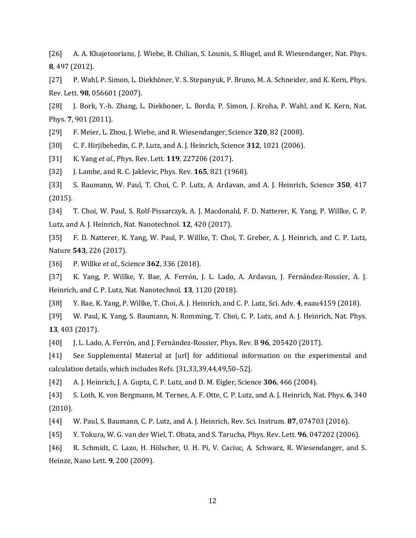[26] A. A. Khajetoorians, J. Wiebe, B. Chilian, S. Lounis, S. Blugel, and R. Wiesendanger, Nat. Phys. **8**, 497 (2012).

[27] P. Wahl, P. Simon, L. Diekhöner, V. S. Stepanyuk, P. Bruno, M. A. Schneider, and K. Kern, Phys. Rev. Lett. **98**, 056601 (2007).

[28] J. Bork, Y.-h. Zhang, L. Diekhoner, L. Borda, P. Simon, J. Kroha, P. Wahl, and K. Kern, Nat. Phys. **7**, 901 (2011).

[29] F. Meier, L. Zhou, J. Wiebe, and R. Wiesendanger, Science **320**, 82 (2008).

[30] C. F. Hirjibehedin, C. P. Lutz, and A. J. Heinrich, Science **312**, 1021 (2006).

[31] K. Yang *et al.*, Phys. Rev. Lett. **119**, 227206 (2017).

[32] J. Lambe, and R. C. Jaklevic, Phys. Rev. **165**, 821 (1968).

[33] S. Baumann, W. Paul, T. Choi, C. P. Lutz, A. Ardavan, and A. J. Heinrich, Science **350**, 417 (2015).

[34] T. Choi, W. Paul, S. Rolf-Pissarczyk, A. J. Macdonald, F. D. Natterer, K. Yang, P. Willke, C. P. Lutz, and A. J. Heinrich, Nat. Nanotechnol. **12**, 420 (2017).

[35] F. D. Natterer, K. Yang, W. Paul, P. Willke, T. Choi, T. Greber, A. J. Heinrich, and C. P. Lutz, Nature **543**, 226 (2017).

[36] P. Willke *et al.*, Science **362**, 336 (2018).

[37] K. Yang, P. Willke, Y. Bae, A. Ferrón, J. L. Lado, A. Ardavan, J. Fernández-Rossier, A. J. Heinrich, and C. P. Lutz, Nat. Nanotechnol. **13**, 1120 (2018).

[38] Y. Bae, K. Yang, P. Willke, T. Choi, A. J. Heinrich, and C. P. Lutz, Sci. Adv. **4**, eaau4159 (2018).

[39] W. Paul, K. Yang, S. Baumann, N. Romming, T. Choi, C. P. Lutz, and A. J. Heinrich, Nat. Phys. **13**, 403 (2017).

[40] J. L. Lado, A. Ferrón, and J. Fernández-Rossier, Phys. Rev. B **96**, 205420 (2017).

[41] See Supplemental Material at [url] for additional information on the experimental and calculation details, which includes Refs. [31,33,39,44,49,50–52].

[42] A. J. Heinrich, J. A. Gupta, C. P. Lutz, and D. M. Eigler, Science **306**, 466 (2004).

[43] S. Loth, K. von Bergmann, M. Ternes, A. F. Otte, C. P. Lutz, and A. J. Heinrich, Nat. Phys. **6**, 340 (2010).

[44] W. Paul, S. Baumann, C. P. Lutz, and A. J. Heinrich, Rev. Sci. Instrum. **87**, 074703 (2016).

[45] Y. Tokura, W. G. van der Wiel, T. Obata, and S. Tarucha, Phys. Rev. Lett. **96**, 047202 (2006).

[46] R. Schmidt, C. Lazo, H. Hölscher, U. H. Pi, V. Caciuc, A. Schwarz, R. Wiesendanger, and S. Heinze, Nano Lett. **9**, 200 (2009).

12